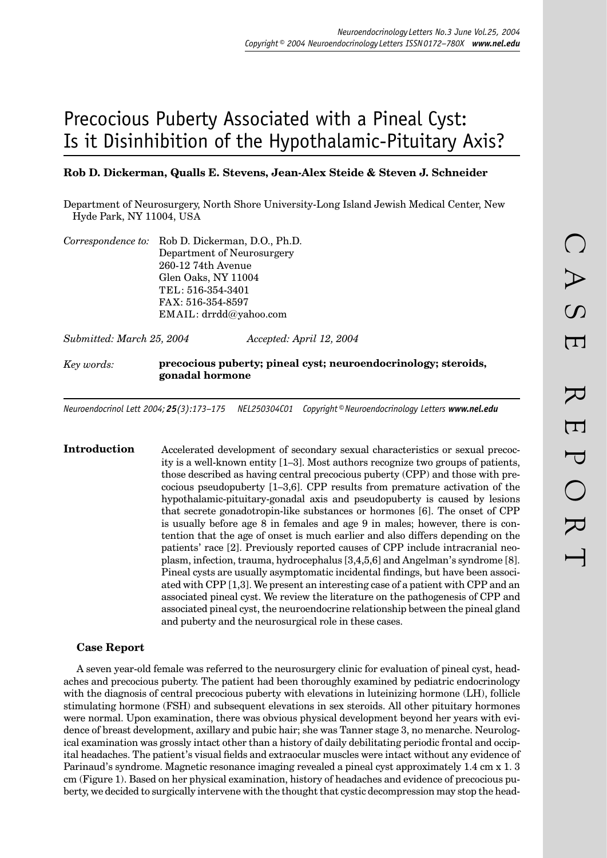# Precocious Puberty Associated with a Pineal Cyst: Is it Disinhibition of the Hypothalamic-Pituitary Axis?

### **Rob D. Dickerman, Qualls E. Stevens, Jean-Alex Steide & Steven J. Schneider**

Department of Neurosurgery, North Shore University-Long Island Jewish Medical Center, New Hyde Park, NY 11004, USA

| Correspondence to: Rob D. Dickerman, D.O., Ph.D. |
|--------------------------------------------------|
| Department of Neurosurgery                       |
| 260-12 74th Avenue                               |
| Glen Oaks, NY 11004                              |
| TEL: 516-354-3401                                |
| FAX: 516-354-8597                                |
| EMAIL: drrdd@yahoo.com                           |
|                                                  |

*Submitted: March 25, 2004 Accepted: April 12, 2004*

*Key words:* **precocious puberty; pineal cyst; neuroendocrinology; steroids, gonadal hormone**

*Neuroendocrinol Lett 2004; 25(3):173–175 NEL250304C01 Copyright © Neuroendocrinology Letters www.nel.edu*

**Introduction** Accelerated development of secondary sexual characteristics or sexual precocity is a well-known entity [1–3]. Most authors recognize two groups of patients, those described as having central precocious puberty (CPP) and those with precocious pseudopuberty [1–3,6]. CPP results from premature activation of the hypothalamic-pituitary-gonadal axis and pseudopuberty is caused by lesions that secrete gonadotropin-like substances or hormones [6]. The onset of CPP is usually before age 8 in females and age 9 in males; however, there is contention that the age of onset is much earlier and also differs depending on the patients' race [2]. Previously reported causes of CPP include intracranial neoplasm, infection, trauma, hydrocephalus [3,4,5,6] and Angelman's syndrome [8]. Pineal cysts are usually asymptomatic incidental findings, but have been associated with CPP [1,3]. We present an interesting case of a patient with CPP and an associated pineal cyst. We review the literature on the pathogenesis of CPP and associated pineal cyst, the neuroendocrine relationship between the pineal gland and puberty and the neurosurgical role in these cases.

#### **Case Report**

A seven year-old female was referred to the neurosurgery clinic for evaluation of pineal cyst, headaches and precocious puberty. The patient had been thoroughly examined by pediatric endocrinology with the diagnosis of central precocious puberty with elevations in luteinizing hormone (LH), follicle stimulating hormone (FSH) and subsequent elevations in sex steroids. All other pituitary hormones were normal. Upon examination, there was obvious physical development beyond her years with evidence of breast development, axillary and pubic hair; she was Tanner stage 3, no menarche. Neurological examination was grossly intact other than a history of daily debilitating periodic frontal and occipital headaches. The patient's visual fields and extraocular muscles were intact without any evidence of Parinaud's syndrome. Magnetic resonance imaging revealed a pineal cyst approximately 1.4 cm x 1. 3 cm (Figure 1). Based on her physical examination, history of headaches and evidence of precocious puberty, we decided to surgically intervene with the thought that cystic decompression may stop the head-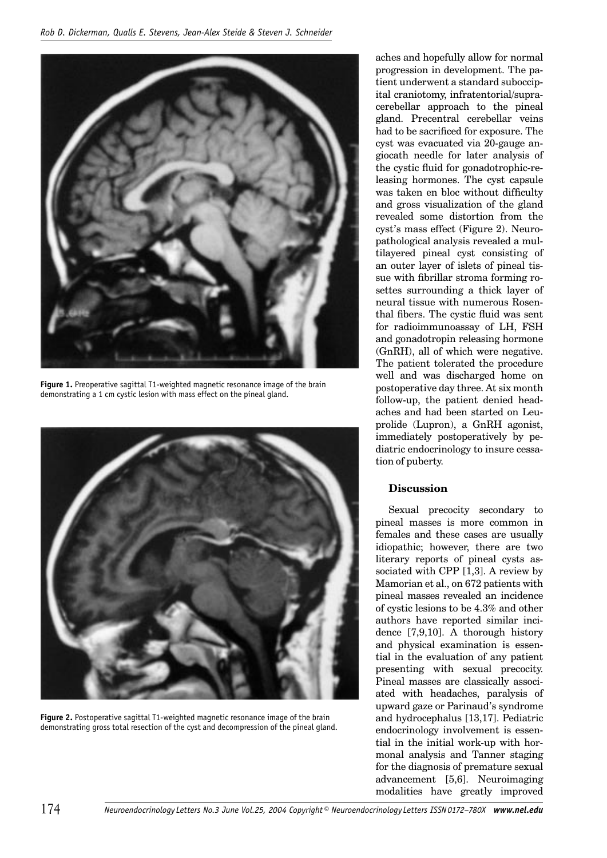

**Figure 1.** Preoperative sagittal T1-weighted magnetic resonance image of the brain demonstrating a 1 cm cystic lesion with mass effect on the pineal gland.



**Figure 2.** Postoperative sagittal T1-weighted magnetic resonance image of the brain demonstrating gross total resection of the cyst and decompression of the pineal gland.

aches and hopefully allow for normal progression in development. The patient underwent a standard suboccipital craniotomy, infratentorial/supracerebellar approach to the pineal gland. Precentral cerebellar veins had to be sacrificed for exposure. The cyst was evacuated via 20-gauge angiocath needle for later analysis of the cystic fluid for gonadotrophic-releasing hormones. The cyst capsule was taken en bloc without difficulty and gross visualization of the gland revealed some distortion from the cyst's mass effect (Figure 2). Neuropathological analysis revealed a multilayered pineal cyst consisting of an outer layer of islets of pineal tissue with fibrillar stroma forming rosettes surrounding a thick layer of neural tissue with numerous Rosenthal fibers. The cystic fluid was sent for radioimmunoassay of LH, FSH and gonadotropin releasing hormone (GnRH), all of which were negative. The patient tolerated the procedure well and was discharged home on postoperative day three. At six month follow-up, the patient denied headaches and had been started on Leuprolide (Lupron), a GnRH agonist, immediately postoperatively by pediatric endocrinology to insure cessation of puberty.

## **Discussion**

Sexual precocity secondary to pineal masses is more common in females and these cases are usually idiopathic; however, there are two literary reports of pineal cysts associated with CPP [1,3]. A review by Mamorian et al., on 672 patients with pineal masses revealed an incidence of cystic lesions to be 4.3% and other authors have reported similar incidence [7,9,10]. A thorough history and physical examination is essential in the evaluation of any patient presenting with sexual precocity. Pineal masses are classically associated with headaches, paralysis of upward gaze or Parinaud's syndrome and hydrocephalus [13,17]. Pediatric endocrinology involvement is essential in the initial work-up with hormonal analysis and Tanner staging for the diagnosis of premature sexual advancement [5,6]. Neuroimaging modalities have greatly improved